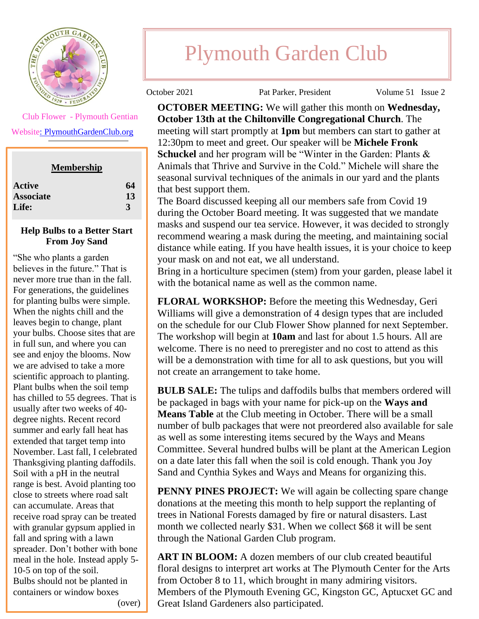

Club Flower - Plymouth Gentian

Websit[e: PlymouthGardenClub.org](https://plymouthgardenclub.org/)

| <b>Active</b>    | 64 |
|------------------|----|
| <b>Associate</b> | 13 |
| Life:            |    |

## **Help Bulbs to a Better Start From Joy Sand**

"She who plants a garden believes in the future." That is never more true than in the fall. For generations, the guidelines for planting bulbs were simple. When the nights chill and the leaves begin to change, plant your bulbs. Choose sites that are in full sun, and where you can see and enjoy the blooms. Now we are advised to take a more scientific approach to planting. Plant bulbs when the soil temp has chilled to 55 degrees. That is usually after two weeks of 40 degree nights. Recent record summer and early fall heat has extended that target temp into November. Last fall, I celebrated Thanksgiving planting daffodils. Soil with a pH in the neutral range is best. Avoid planting too close to streets where road salt can accumulate. Areas that receive road spray can be treated with granular gypsum applied in fall and spring with a lawn spreader. Don't bother with bone meal in the hole. Instead apply 5- 10-5 on top of the soil. Bulbs should not be planted in containers or window boxes (over)

**BOOKS AND BLOSSOMS** 

## Plymouth Garden Club

October 2021 Pat Parker, President Volume 51 Issue 2

**OCTOBER MEETING:** We will gather this month on **Wednesday, October 13th at the Chiltonville Congregational Church**. The meeting will start promptly at **1pm** but members can start to gather at 12:30pm to meet and greet. Our speaker will be **Michele Fronk Schuckel** and her program will be "Winter in the Garden: Plants & Animals that Thrive and Survive in the Cold." Michele will share the seasonal survival techniques of the animals in our yard and the plants that best support them.

The Board discussed keeping all our members safe from Covid 19 during the October Board meeting. It was suggested that we mandate masks and suspend our tea service. However, it was decided to strongly recommend wearing a mask during the meeting, and maintaining social distance while eating. If you have health issues, it is your choice to keep your mask on and not eat, we all understand.

Bring in a horticulture specimen (stem) from your garden, please label it with the botanical name as well as the common name.

**FLORAL WORKSHOP:** Before the meeting this Wednesday, Geri Williams will give a demonstration of 4 design types that are included on the schedule for our Club Flower Show planned for next September. The workshop will begin at **10am** and last for about 1.5 hours. All are welcome. There is no need to preregister and no cost to attend as this will be a demonstration with time for all to ask questions, but you will not create an arrangement to take home.

**BULB SALE:** The tulips and daffodils bulbs that members ordered will be packaged in bags with your name for pick-up on the **Ways and Means Table** at the Club meeting in October. There will be a small number of bulb packages that were not preordered also available for sale as well as some interesting items secured by the Ways and Means Committee. Several hundred bulbs will be plant at the American Legion on a date later this fall when the soil is cold enough. Thank you Joy Sand and Cynthia Sykes and Ways and Means for organizing this.

**PENNY PINES PROJECT:** We will again be collecting spare change donations at the meeting this month to help support the replanting of trees in National Forests damaged by fire or natural disasters. Last month we collected nearly \$31. When we collect \$68 it will be sent through the National Garden Club program.

**ART IN BLOOM:** A dozen members of our club created beautiful floral designs to interpret art works at The Plymouth Center for the Arts from October 8 to 11, which brought in many admiring visitors. Members of the Plymouth Evening GC, Kingston GC, Aptucxet GC and Great Island Gardeners also participated.